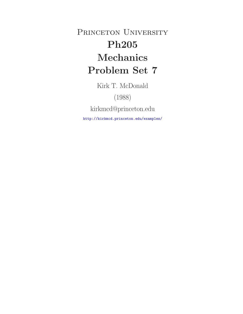PRINCETON UNIVERSITY **Ph205 Mechanics Problem Set 7**

Kirk T. McDonald

(1988)

kirkmcd@princeton.edu

http://kirkmcd.princeton.edu/examples/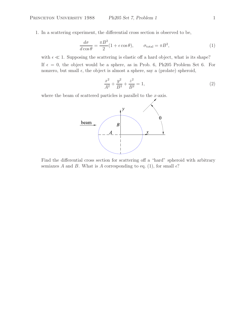1. In a scattering experiment, the differential cross section is observed to be,

$$
\frac{d\sigma}{d\cos\theta} = \frac{\pi B^2}{2} (1 + \epsilon \cos\theta), \qquad \sigma_{\text{total}} = \pi B^2,\tag{1}
$$

with  $\epsilon \ll 1$ . Supposing the scattering is elastic off a hard object, what is its shape? If  $\epsilon = 0$ , the object would be a sphere, as in Prob. 6, Ph205 Problem Set 6. For nonzero, but small  $\epsilon$ , the object is almost a sphere, say a (prolate) spheroid,

$$
\frac{x^2}{A^2} + \frac{y^2}{B^2} + \frac{z^2}{B^2} = 1,
$$
\n(2)

where the beam of scattered particles is parallel to the  $x$ -axis.



Find the differential cross section for scattering off a "hard" spheroid with arbitrary semiaxes A and B. What is A corresponding to eq. (1), for small  $\epsilon$ ?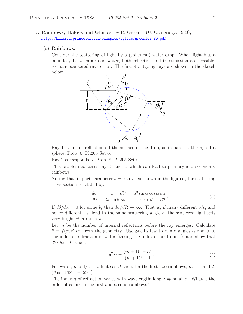2. **Rainbows, Haloes and Glories,** by R. Greenler (U. Cambridge, 1980), http://kirkmcd.princeton.edu/examples/optics/greenler\_80.pdf

## (a) **Rainbows.**

Consider the scattering of light by a (spherical) water drop. When light hits a boundary between air and water, both reflection and transmission are possible, so many scattered rays occur. The first 4 outgoing rays are shown in the sketch below.



Ray 1 is mirror reflection off the surface of the drop, as in hard scattering off a sphere, Prob. 6, Ph205 Set 6.

Ray 2 corresponds to Prob. 8, Ph205 Set 6.

This problem concerns rays 3 and 4, which can lead to primary and secondary rainbows.

Noting that impact parameter  $b = a \sin \alpha$ , as shown in the figured, the scattering cross section is related by,

$$
\frac{d\sigma}{d\Omega} = \frac{1}{2\pi \sin \theta} \frac{db^2}{d\theta} = \frac{a^2 \sin \alpha \cos \alpha}{\pi \sin \theta} \frac{d\alpha}{d\theta}.
$$
 (3)

If  $d\theta/d\alpha = 0$  for some b, then  $d\sigma/d\Omega \to \infty$ . That is, if many different  $\alpha$ 's, and hence different b's, lead to the same scattering angle  $\theta$ , the scattered light gets very bright  $\Rightarrow$  a rainbow.

Let  $m$  be the number of internal reflections before the ray emerges. Calculate  $\theta = f(\alpha, \beta, m)$  from the geometry. Use Snell's law to relate angles  $\alpha$  and  $\beta$  to the index of refraction of water (taking the index of air to be 1), and show that  $d\theta/d\alpha = 0$  when,

$$
\sin^2 \alpha = \frac{(m+1)^1 - n^2}{(m+1)^2 - 1}.
$$
\n(4)

For water,  $n \approx 4/3$ . Evaluate  $\alpha$ ,  $\beta$  and  $\theta$  for the first two rainbows,  $m = 1$  and 2.  $(Ans: 138°, -129°.)$ 

The index n of refraction varies with wavelength; long  $\lambda \Rightarrow$  small n. What is the order of colors in the first and second rainbows?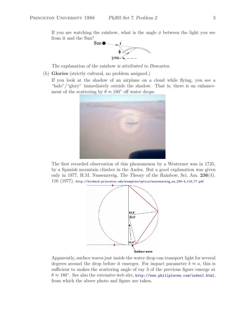If you are watching the rainbow, what is the angle  $\phi$  between the light you see from it and the Sun?



*The explanation of the rainbow is attributed to Descartes.*

- (b) **Glories** (strictly cultural, no problem assigned.)
	- If you look at the shadow of an airplane on a cloud while flying, you see a "halo"/"glory" immediately outside the shadow. That is, there is an enhancement of the scattering by  $\theta \approx 180^{\circ}$  off water drops.



The first recorded observation of this phenomenon by a Westerner was in 1735, by a Spanish mountain climber in the Andes. But a good explanation was given only in 1977, H.M. Nussenzveig, *The Theory of the Rainbow*, Sci. Am. **236**(4), 116 (1977), http://kirkmcd.princeton.edu/examples/optics/nussenzveig\_sa\_236-4\_116\_77.pdf



Apparently, surface waves just inside the water drop can transport light for several degrees around the drop before it emerges. For impact parameter  $b \approx a$ , this is sufficient to makes the scattering angle of ray 3 of the previous figure emerge at  $\theta \approx 180^\circ$ . See also the extensive web site, http://www.philiplaven.com/index1.html, from which the above photo and figure are taken.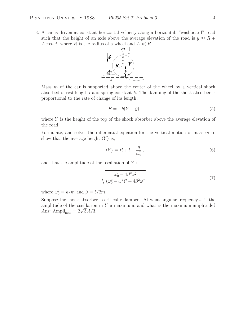3. A car is driven at constant horizontal velocity along a horizontal, "washboard" road such that the height of an axle above the average elevation of the road is  $y \approx R +$  $A \cos \omega t$ , where R is the radius of a wheel and  $A \ll R$ .



Mass  $m$  of the car is supported above the center of the wheel by a vertical shock absorbed of rest length  $l$  and spring constant  $k$ . The damping of the shock absorber is proportional to the rate of change of its length,

$$
F = -b(\dot{Y} - \dot{y}),\tag{5}
$$

where  $Y$  is the height of the top of the shock absorber above the average elevation of the road.

Formulate, and solve, the differential equation for the vertical motion of mass m to show that the average height  $\langle Y \rangle$  is,

$$
\langle Y \rangle = R + l - \frac{g}{\omega_0^2},\tag{6}
$$

and that the amplitude of the oscillation of  $Y$  is,

$$
\sqrt{\frac{\omega_0^4 + 4\beta^2 \omega^2}{(\omega_0^2 - \omega^2)^2 + 4\beta^2 \omega^2}},\tag{7}
$$

where  $\omega_0^2 = k/m$  and  $\beta = b/2m$ .

Suppose the shock absorber is critically damped. At what angular frequency  $\omega$  is the amplitude of the oscillation in  $Y$  a maximum, and what is the maximum amplitude? *Ans:* Ampli<sub>max</sub> =  $2\sqrt{3}A/3$ *.*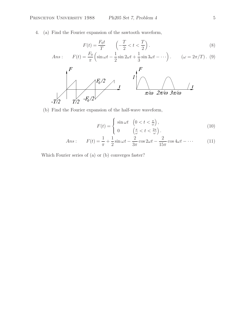4. (a) Find the Fourier expansion of the sawtooth waveform,

$$
F(t) = \frac{F_0 t}{T} \qquad \left(-\frac{T}{2} < t < \frac{T}{2}\right). \tag{8}
$$

$$
Ans: \qquad F(t) = \frac{F_0}{\pi} \left( \sin \omega t - \frac{1}{2} \sin 2\omega t + \frac{1}{3} \sin 3\omega t - \cdots \right). \qquad (\omega = 2\pi/T). \tag{9}
$$



(b) Find the Fourier expansion of the half-wave waveform,

$$
F(t) = \begin{cases} \sin \omega t & \left(0 < t < \frac{\pi}{\omega}\right), \\ 0 & \left(\frac{\pi}{\omega} < t < \frac{2\pi}{\omega}\right). \end{cases} \tag{10}
$$

Ans: 
$$
F(t) = \frac{1}{\pi} + \frac{1}{2}\sin \omega t - \frac{2}{3\pi}\cos 2\omega t - \frac{2}{15\pi}\cos 4\omega t - \cdots
$$
 (11)

Which Fourier series of (a) or (b) converges faster?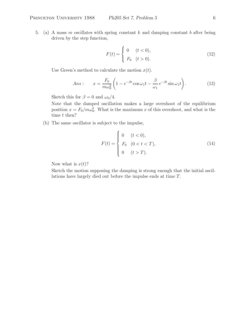5. (a) A mass m oscillates with spring constant  $k$  and damping constant  $b$  after being driven by the step function,

$$
F(t) = \begin{cases} 0 & (t < 0), \\ F_0 & (t > 0). \end{cases}
$$
 (12)

Use Green's method to calculate the motion  $x(t)$ .

$$
Ans: \qquad x = \frac{F_0}{m\omega_0^2} \left( 1 - e^{-\beta t} \cos \omega_1 t - \frac{\beta}{\omega_1} e^{-\beta t} \sin \omega_1 t \right). \tag{13}
$$

Sketch this for  $\beta = 0$  and  $\omega_0/4$ .

Note that the damped oscillation makes a large overshoot of the equilibrium position  $x = F_0/m\omega_0^2$ . What is the maximum x of this overshoot, and what is the time  $t$  then?

(b) The same oscillator is subject to the impulse,

$$
F(t) = \begin{cases} 0 & (t < 0), \\ F_0 & (0 < t < T), \\ 0 & (t > T). \end{cases}
$$
 (14)

Now what is  $x(t)$ ?

Sketch the motion supposing the damping is strong enough that the initial oscillations have largely died out before the impulse ends at time T .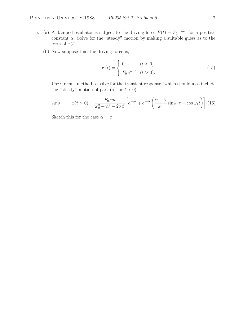- 6. (a) A damped oscillator is subject to the driving force  $F(t) = F_0 e^{-\alpha t}$  for a positive constant  $\alpha$ . Solve for the "steady" motion by making a suitable guess as to the form of  $x(t)$ .
	- (b) Now suppose that the driving force is,

$$
F(t) = \begin{cases} 0 & (t < 0), \\ F_0 e^{-\alpha t} & (t > 0). \end{cases}
$$
 (15)

Use Green's method to solve for the transient response (which should also include the "steady" motion of part (a) for  $t > 0$ ).

Ans: 
$$
x(t>0) = \frac{F_0/m}{\omega_0^2 + \alpha^2 - 2\alpha\beta} \left[ e^{-\alpha t} + e^{-\beta t} \left( \frac{\alpha - \beta}{\omega_1} \sin \omega_1 t - \cos \omega_1 t \right) \right]. (16)
$$

Sketch this for the case  $\alpha=\beta.$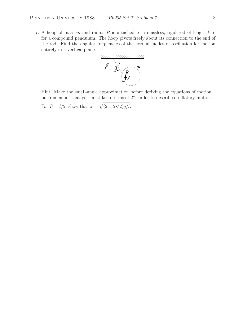7. A hoop of mass  $m$  and radius  $R$  is attached to a massless, rigid rod of length  $l$  to for a compound pendulum. The hoop pivots freely about its connection to the end of the rod. Find the angular frequencies of the normal modes of oscillation for motion entirely in a vertical plane.



Hint: Make the small-angle approximation before deriving the equations of motion – but remember that you must keep terms of  $2<sup>nd</sup>$  order to describe oscillatory motion.

For  $R = l/2$ , show that  $\omega = \sqrt{(2 \pm 2\sqrt{2})g/l}$ .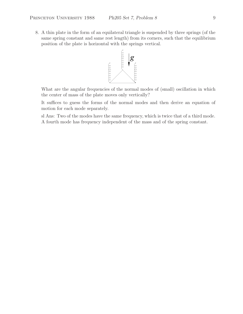8. A thin plate in the form of an equilateral triangle is suspended by three springs (of the same spring constant and same rest length) from its corners, such that the equilibrium position of the plate is horizontal with the springs vertical.



What are the angular frequencies of the normal modes of (small) oscillation in which the center of mass of the plate moves only vertically?

It suffices to guess the forms of the normal modes and then derive an equation of motion for each mode separately.

sl Ans: Two of the modes have the same frequency, which is twice that of a third mode. A fourth mode has frequency independent of the mass and of the spring constant.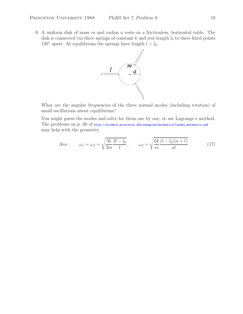9. A uniform disk of mass  $m$  and radius  $a$  rests on a frictionless, horizontal table. The disk is connected via three springs of constant  $k$  and rest length  $l_0$  to three fixed points 120 $\degree$  apart. At equilibrium the springs have length  $l>l_0$ .



What are the angular frequencies of the three normal modes (including rotation) of small oscillations about equilibrium?

You might guess the modes and solve for them one by one, or use Lagrange's method. The problems on p. 60 of http://kirkmcd.princeton.edu/examples/mechanics/landau\_mechanics.pdf may help with the geometry.

Ans: 
$$
\omega_1 = \omega_2 = \sqrt{\frac{3k}{2m} \frac{2l - l_0}{l}}, \qquad \omega_3 = \sqrt{\frac{6k}{m} \frac{(l - l_0)(a + l)}{al}}.
$$
 (17)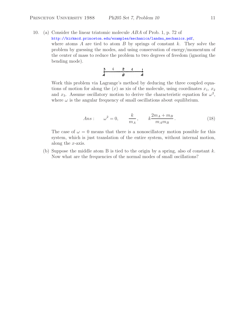10. (a) Consider the linear triatomic molecule ABA of Prob. 1, p. 72 of http://kirkmcd.princeton.edu/examples/mechanics/landau\_mechanics.pdf, where atoms A are tied to atom B by springs of constant  $k$ . They solve the problem by guessing the modes, and using conservation of energy/momentum of the center of mass to reduce the problem to two degrees of freedom (ignoring the bending mode).

$$
\begin{array}{c|cccc}\n3 & 2 & 2 & 1 \\
\hline\n\end{array}
$$

Work this problem via Lagrange's method by deducing the three coupled equations of motion for along the  $(x)$  as xis of the molecule, using coordinates  $x_1, x_2$ and  $x_3$ . Assume oscillatory motion to derive the characteristic equation for  $\omega^2$ , where  $\omega$  is the angular frequency of small oscillations about equilibrium.

Ans: 
$$
\omega^2 = 0, \qquad \frac{k}{m_A}, \qquad k \frac{2m_A + m_B}{m_A m_B}. \tag{18}
$$

The case of  $\omega = 0$  means that there is a nonoscillatory motion possible for this system, which is just translation of the entire system, without internal motion, along the x-axis.

(b) Suppose the middle atom B is tied to the origin by a spring, also of constant  $k$ . Now what are the frequencies of the normal modes of small oscillations?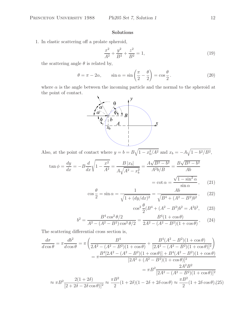## **Solutions**

1. In elastic scattering off a prolate spheroid,

$$
\frac{x^2}{A^2} + \frac{y^2}{B^2} + \frac{z^2}{B^2} = 1,
$$
\n(19)

the scattering angle  $\theta$  is related by,

$$
\theta = \pi - 2\alpha, \qquad \sin \alpha = \sin \left(\frac{\pi}{2} - \frac{\theta}{2}\right) = \cos \frac{\theta}{2}.
$$
 (20)

where  $\alpha$  is the angle between the incoming particle and the normal to the spheroid at the point of contact.



Also, at the point of contact where  $y = b = B\sqrt{1 - x_b^2/A^2}$  and  $x_b = -A\sqrt{1 - b^2/B^2}$ ,

$$
\tan \phi = \frac{dy}{dx} = -B\frac{d}{dx}\sqrt{1 - \frac{x^2}{A^2}} = \frac{B|x_b|}{A\sqrt{A^2 - x_b^2}} = \frac{A\sqrt{B^2 - b^2}}{A^2b/B} = \frac{B\sqrt{B^2 - b^2}}{Ab}
$$

$$
\cot \alpha = \frac{\sqrt{1 - \sin^2 \alpha}}{\sin \alpha}, \qquad (21)
$$

$$
\cos\frac{\theta}{2} = \sin\alpha = \frac{1}{\sqrt{1 + (dy/dx)^2}} = \frac{Ab}{\sqrt{B^4 + (A^2 - B^2)b^2}},\qquad(22)
$$

 $=$ 

$$
\cos^2 \frac{\theta}{2} (B^4 + (A^2 - B^2)b^2 = A^2b^2, \quad (23)
$$

$$
b^2 = \frac{B^4 \cos^2 \theta / 2}{A^2 - (A^2 - B^2) \cos^2 \theta / 2} = \frac{B^4 (1 + \cos \theta)}{2A^2 - (A^2 - B^2)(1 + \cos \theta)},
$$
 (24)

The scattering differential cross section is,

$$
\frac{d\sigma}{d\cos\theta} = \pi \frac{db^2}{d\cos\theta} = \pi \left( \frac{B^4}{2A^2 - (A^2 - B^2)(1 + \cos\theta)} + \frac{B^4(A^2 - B^2)(1 + \cos\theta)}{[2A^2 - (A^2 - B^2)(1 + \cos\theta)]^2} \right)
$$

$$
= \pi \frac{B^4[2A^2 - (A^2 - B^2)(1 + \cos\theta)] + B^4(A^2 - B^2)(1 + \cos\theta)}{[2A^2 + (A^2 - B^2)(1 + \cos\theta)]^2}
$$

$$
= \pi B^2 \frac{2A^2B^2}{[2A^2 - (A^2 - B^2)(1 + \cos\theta)]^2}
$$

$$
\approx \pi B^2 \frac{2(1 + 2\delta)}{[2 + 2\delta - 2\delta \cos\theta)]^2} \approx \frac{\pi B^2}{2}(1 + 2\delta)(1 - 2\delta + 2\delta \cos\theta) \approx \frac{\pi B^2}{2}(1 + 2\delta \cos\theta), (25)
$$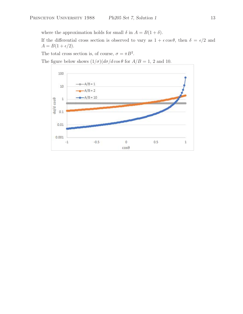where the approximation holds for small  $\delta$  in  $A = B(1 + \delta)$ .

If the differential cross section is observed to vary as  $1 + \epsilon \cos \theta$ , then  $\delta = \epsilon/2$  and  $A = B(1 + \epsilon/2).$ 

The total cross section is, of course,  $\sigma = \pi B^2$ .

The figure below shows  $(1/\sigma)(d\sigma/d\cos\theta$  for  $A/B = 1, 2$  and 10.

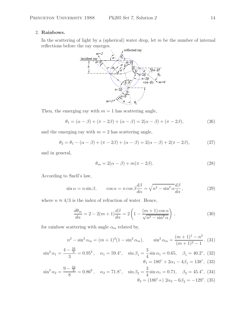## 2. **Rainbows.**

In the scattering of light by a (spherical) water drop, let  $m$  be the number of internal reflections before the ray emerges.



Then, the emerging ray with  $m = 1$  has scattering angle,

$$
\theta_1 = (\alpha - \beta) + (\pi - 2\beta) + (\alpha - \beta) = 2(\alpha - \beta) + (\pi - 2\beta),
$$
 (26)

and the emerging ray with  $m = 2$  has scattering angle,

$$
\theta_2 = \theta_1 - (\alpha - \beta) + (\pi - 2\beta) + (\alpha - \beta) = 2(\alpha - \beta) + 2(\pi - 2\beta),
$$
 (27)

and in general,

$$
\theta_m = 2(\alpha - \beta) + m(\pi - 2\beta). \tag{28}
$$

According to Snell's law,

$$
\sin \alpha = n \sin \beta, \qquad \cos \alpha = n \cos \beta \frac{d\beta}{d\alpha} = \sqrt{n^2 - \sin^2 \alpha} \frac{d\beta}{d\alpha}, \tag{29}
$$

where  $n \approx 4/3$  is the index of refraction of water. Hence,

$$
\frac{d\theta_m}{d\alpha} = 2 - 2(m+1)\frac{d\beta}{d\alpha} = 2\left(1 - \frac{(m+1)\cos\alpha}{\sqrt{n^2 - \sin^2\alpha}}\right),\tag{30}
$$

for rainbow scattering with angle  $\alpha_m$  related by,

$$
n^{2} - \sin^{2} \alpha_{m} = (m+1)^{2} (1 - \sin^{2} \alpha_{m}), \qquad \sin^{2} \alpha_{m} = \frac{(m+1)^{1} - n^{2}}{(m+1)^{2} - 1}. (31)
$$

$$
\sin^2 \alpha_1 = \frac{4 - \frac{16}{9}}{3} = 0.95^2 \,, \quad \alpha_1 = 59.4^{\circ}, \quad \sin \beta_1 = \frac{3}{4} \sin \alpha_1 = 0.65, \quad \beta_1 = 40.2^{\circ}, \text{ (32)}
$$
\n
$$
\theta_1 = 180^{\circ} + 2\alpha_1 - 4\beta_1 = 138^{\circ}, \text{ (33)}
$$

$$
\sin^2 \alpha_2 = \frac{9 - \frac{16}{9}}{8} = 0.86^2, \quad \alpha_2 = 71.8^\circ, \quad \sin \beta_2 = \frac{3}{4} \sin \alpha_1 = 0.71, \quad \beta_2 = 45.4^\circ, \text{ (34)}
$$

$$
\theta_2 = (180^\circ +) 2\alpha_2 - 6\beta_2 = -129^\circ. \text{ (35)}
$$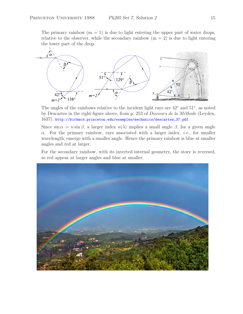The primary rainbow  $(m = 1)$  is due to light entering the upper part of water drops, relative to the observer, while the secondary rainbow  $(m = 2)$  is due to light entering the lower part of the drop.



The angles of the rainbows relative to the incident light rays are  $42°$  and  $51°$ , as noted by Descartes in the right figure above, from p. 253 of *Discours de la M´ethode* (Leyden, 1637), http://kirkmcd.princeton.edu/examples/mechanics/descartes\_37.pdf.

Since  $\sin \alpha = n \sin \beta$ , a larger index  $n(\lambda)$  implies a small angle  $\beta$ , for a given angle α. For the primary rainbow, rays associated with a larger index, *i.e.*, for smaller wavelength, emerge with a smaller angle. Hence the primary rainbow is blue at smaller angles and red at larger.

For the secondary rainbow, with its inverted internal geometry, the story is reversed, so red appear at larger angles and blue at smaller.

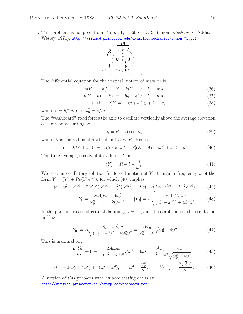3. This problem is adapted from Prob. 51, p. 69 of K.R. Symon, *Mechanics* (Addison-Wesley, 1971), http://kirkmcd.princeton.edu/examples/mechanics/symon\_71.pdf.



The differential equation for the vertical motion of mass  $m$  is,

$$
m\ddot{Y} = -b(\dot{Y} - \dot{y}) - k(Y - y - l) - mg,\tag{36}
$$

$$
m\ddot{Y} + b\dot{Y} + kY = -b\dot{y} + k(y+l) - mg,\tag{37}
$$

$$
\ddot{Y} + \beta \dot{Y} + \omega_0^2 Y = -\beta \dot{y} + \omega_0^2 (y + l) - g,
$$
\n(38)

where  $\beta = b/2m$  and  $\omega_0^2 = k/m$ .

The "washboard" road forces the axle to oscillate vertically above the average elevation of the road according to,

$$
y = R + A\cos\omega t,\tag{39}
$$

where R is the radius of a wheel and  $A \ll R$ . Hence,

$$
\ddot{Y} + 2\beta \dot{Y} + \omega_0^2 Y = 2A\beta\omega\sin\omega t + \omega_0^2 (R + A\cos\omega t) + \omega_0^2 l - g. \tag{40}
$$

The time-average, steady-state value of  $Y$  is,

$$
\langle Y \rangle = R + l - \frac{g}{\omega^2} \,. \tag{41}
$$

We seek an oscillatory solution for forced motion of Y at angular frequency  $\omega$  of the form  $Y = \langle Y \rangle + Re(Y_0 e^{i\omega t})$ , for which (40) implies,

$$
Re(-\omega^2 Y_0 e^{i\omega t} - 2i\beta \omega Y_0 e^{i\omega t} + \omega_0^2 Y_0 e^{i\omega t}) = Re(-2iA\beta\omega e^{i\omega t} + A\omega_0^2 e^{i\omega t}),\tag{42}
$$

$$
Y_0 = \frac{-2iA\beta\omega + A\omega_0^2}{\omega_0^2 - \omega^2 - 2i\beta\omega}, \qquad |Y_0| = A\sqrt{\frac{\omega_0^4 + 4\beta^2\omega^2}{(\omega_0^2 - \omega^2)^2 + 4\beta^2\omega^2}}.
$$
(43)

In the particular case of critical damping,  $\beta = \omega_0$ , and the amplitude of the oscillation in  $Y$  is,

$$
|Y_0| = A \sqrt{\frac{\omega_0^4 + 4\omega_0^2 \omega^2}{(\omega_0^2 - \omega^2)^2 + 4\omega_0^2 \omega^2}} = \frac{A\omega_0}{\omega_0^2 + \omega^2} \sqrt{\omega_0^2 + 4\omega^2}.
$$
 (44)

This is maximal for,

$$
\frac{d|Y_0|}{d\omega} = 0 = -\frac{2A\omega_0\omega}{(\omega_0^2 + \omega^2)^2} \sqrt{\omega_0^2 + 4\omega^2} + \frac{A\omega_0}{\omega_0^2 + \omega^2} \frac{4\omega}{\sqrt{\omega_0^2 + 4\omega^2}},
$$
(45)

$$
0 = -2(\omega_0^2 + 4\omega^2) + 4(\omega_0^2 + \omega^2), \qquad \omega^2 = \frac{\omega_0^2}{2}, \qquad |Y_0|_{\text{max}} = \frac{2\sqrt{3}A}{2}.
$$
 (46)

*A version of this problem with an accelerating car is at* http://kirkmcd.princeton.edu/examples/washboard.pdf.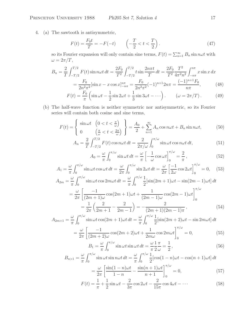4. (a) The sawtooth is antisymmetric,

$$
F(t) = \frac{F_0 t}{T} = -F(-t) \qquad \left(-\frac{T}{2} < t < \frac{T}{2}\right). \tag{47}
$$

so its Fourier expansion will only contain sine terms,  $F(t) = \sum_{n=1}^{\infty} B_n \sin n\omega t$  with  $\omega = 2\pi/T,$ 

$$
B_n = \frac{2}{T} \int_{-T/2}^{T/2} F(t) \sin n\omega t \, dt = \frac{2F_0}{T^2} \int_{-T/2}^{T/2} t \sin \frac{2n\pi t}{T} \, dt = \frac{2F_0}{T^2} \frac{T^2}{4\pi^2 n^2} \int_{-n\pi}^{n\pi} x \sin x \, dx
$$

$$
= \frac{F_0}{2n^2 \pi^2} [\sin x - x \cos x]_{-n\pi}^{n\pi} = \frac{F_0}{2n^2 \pi^2} (-1)^{n+1} 2n\pi = \frac{(-1)^{n+1} F_0}{n\pi},\tag{48}
$$

$$
F(t) = \frac{F_0}{\pi} \left( \sin \omega t - \frac{1}{2} \sin 2\omega t + \frac{1}{3} \sin 3\omega t - \cdots \right). \qquad (\omega = 2\pi/T). \tag{49}
$$

(b) The half-wave function is neither symmetric nor antisymmetric, so its Fourier series will contain both cosine and sine terms,

$$
F(t) = \begin{cases} \sin \omega t & \left(0 < t < \frac{\pi}{\omega}\right) \\ 0 & \left(\frac{\pi}{\omega} < t < \frac{2\pi}{\omega}\right) \end{cases} = \frac{A_0}{2} + \sum_{n=1}^{\infty} A_n \cos n\omega t + B_n \sin n\omega t,\tag{50}
$$

$$
A_n = \frac{2}{T} \int_{-T/2}^{T/2} F(t) \cos n\omega t \, dt = \frac{2}{2\pi/\omega} \int_0^{\pi/\omega} \sin \omega t \cos n\omega t \, dt,\tag{51}
$$

$$
A_0 = \frac{\omega}{\pi} \int_0^{\pi/\omega} \sin \omega t \, dt = \frac{\omega}{\pi} \left[ -\frac{1}{\omega} \cos \omega t \right]_0^{\pi/\omega} = \frac{2}{\pi},\tag{52}
$$

$$
A_1 = \frac{\omega}{\pi} \int_0^{\pi/\omega} \sin \omega t \cos \omega t \, dt = \frac{\omega}{2\pi} \int_0^{\pi/\omega} \sin 2\omega t \, dt = \frac{\omega}{2\pi} \left[ \frac{-1}{2\omega} \cos 2\omega t \right]_0^{\pi/\omega} = 0, \quad (53)
$$

$$
A_{2m} = \frac{\omega}{\pi} \int_0^{\pi/\omega} \sin \omega t \cos 2m\omega t \, dt = \frac{\omega}{\pi} \int_0^{\pi/\omega} \frac{1}{2} [\sin(2m+1)\omega t - \sin(2m-1)\omega t] \, dt
$$
  
= 
$$
\frac{\omega}{2\pi} \left[ \frac{-1}{(2m+1)\omega} \cos(2m+1)\omega t + \frac{1}{(2m-1)\omega} \cos(2m-1)\omega t \right]_0^{\pi/\omega}
$$
  
= 
$$
\frac{1}{2\pi} \left( \frac{2}{2m+1} - \frac{2}{2m-1} \right) = -\frac{2}{(2m+1)(2m-1)\pi}, \tag{54}
$$

$$
= \frac{1}{2\pi} \left( \frac{2}{2m+1} - \frac{2}{2m-1} \right) = -\frac{2}{(2m+1)(2m-1)\pi},
$$
(54)

$$
A_{2m+1} = \frac{\omega}{\pi} \int_0^{\pi/\omega} \sin \omega t \cos(2m+1)\omega t \, dt = \frac{\omega}{\pi} \int_0^{\pi/\omega} \frac{1}{2} [\sin(2m+2)\omega t - \sin 2m\omega t] \, dt
$$

$$
= \frac{\omega}{2\pi} \left[ \frac{-1}{(2m+2)\omega} \cos(2m+2)\omega t + \frac{1}{2m\omega} \cos 2m\omega t \right]_0^{\pi/\omega} = 0,
$$
(55)

$$
(2m + 2)\omega
$$
  
\n
$$
B_1 = \frac{\omega}{\pi} \int_0^{\pi/\omega} \sin \omega t \sin \omega t dt = \frac{\omega}{\pi} \frac{1}{2} \frac{\pi}{\omega} = \frac{1}{2},
$$
\n(56)

$$
B_{n>1} = \frac{\omega}{\pi} \int_0^{\pi/\omega} \sin \omega t \sin n\omega t \, dt = \frac{\omega}{\pi} \int_0^{\pi/\omega} \frac{1}{2} [\cos(1-n)\omega t - \cos(n+1)\omega t] \, dt
$$

$$
= \frac{\omega}{\pi} \left[ \frac{\sin(1-n)\omega t}{1 - \sin(n+1)\omega t} \right]_0^{\pi/\omega} = 0 \tag{57}
$$

$$
=\frac{\omega}{2\pi}\left[\frac{\sin(1-n)\omega t}{1-n} - \frac{\sin(n+1)\omega t}{n+1}\right]_0^{\pi/\omega} = 0,
$$
\n(57)

$$
F(t) = \frac{1}{\pi} + \frac{1}{2}\sin\omega t - \frac{2}{3\pi}\cos 2\omega t - \frac{2}{15\pi}\cos 4\omega t - \dots
$$
 (58)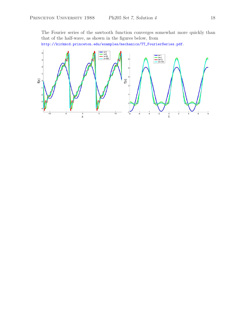The Fourier series of the sawtooth function converges somewhat more quickly than that of the half-wave, as shown in the figures below, from

http://kirkmcd.princeton.edu/examples/mechanics/TT\_FourierSeries.pdf.

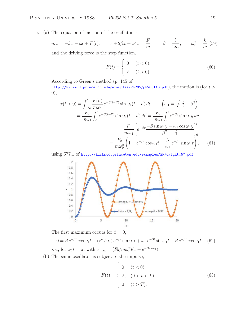5. (a) The equation of motion of the oscillator is,

$$
m\ddot{x} = -kx - b\dot{x} + F(t), \qquad \ddot{x} + 2\beta\dot{x} + \omega_0^2 x = \frac{F}{m}, \qquad \beta = \frac{b}{2m}, \qquad \omega_0^2 = \frac{k}{m}, (59)
$$

and the driving force is the step function,

$$
F(t) = \begin{cases} 0 & (t < 0), \\ F_0 & (t > 0). \end{cases}
$$
 (60)

According to Green's method (p. 145 of

http://kirkmcd.princeton.edu/examples/Ph205/ph205113.pdf), the motion is (for  $t >$ 0),

$$
x(t>0) = \int_{-\infty}^{t} \frac{F(t')}{m\omega_1} e^{-\beta(t-t')} \sin \omega_1(t-t') dt' \qquad \left(\omega_1 = \sqrt{\omega_0^2 - \beta^2}\right)
$$
  

$$
= \frac{F_0}{m\omega_1} \int_0^t e^{-\beta(t-t')} \sin \omega_1(t-t') dt' = \frac{F_0}{m\omega_1} \int_0^t e^{-\beta y} \sin \omega_1 y dy
$$
  

$$
= \frac{F_0}{m\omega_1} \left[ e^{-\beta y} \frac{-\beta \sin \omega_1 y - \omega_1 \cos \omega_1 y}{\beta^2 + \omega_1^2} \right]_0^t
$$
  

$$
= \frac{F_0}{m\omega_0^2} \left( 1 - e^{-\beta t} \cos \omega_1 t - \frac{\beta}{\omega_1} e^{-\beta t} \sin \omega_1 t \right), \qquad (61)
$$

using 577.1 of http://kirkmcd.princeton.edu/examples/EM/dwight\_57.pdf.



The first maximum occurs for  $\dot{x} = 0$ ,

$$
0 = \beta e^{-\beta t} \cos \omega_1 t + (\beta^2/\omega_1) e^{-\beta t} \sin \omega_1 t + \omega_1 e^{-\beta t} \sin \omega_1 t - \beta e^{-\beta t} \cos \omega_1 t, \quad (62)
$$

*i.e.*, for  $\omega_1 t = \pi$ , with  $x_{\text{max}} = (F_0 / m \omega_0^2)(1 + e^{-\beta \pi / \omega_1}).$ 

(b) The same oscillator is subject to the impulse,

$$
F(t) = \begin{cases} 0 & (t < 0), \\ F_0 & (0 < t < T), \\ 0 & (t > T). \end{cases}
$$
 (63)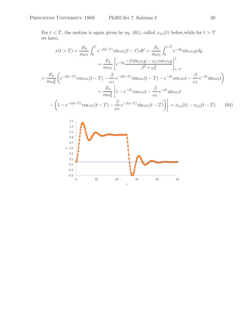For  $t < T$ , the motion is again given by eq. (61), called  $x_{(a)}(t)$  below, while for  $t > T$ we have,

$$
x(t > T) = \frac{F_0}{m\omega_1} \int_0^T e^{-\beta(t-t')} \sin \omega_1(t-t') dt' = \frac{F_0}{m\omega_1} \int_0^{t-T} e^{-\beta y} \sin \omega_1 y dy
$$
  
\n
$$
= \frac{F_0}{m\omega_1} \left[ e^{-\beta y} \frac{-\beta \sin \omega_1 y - \omega_1 \cos \omega_1 y}{\beta^2 + \omega_1^2} \right]_{t-T}^t
$$
  
\n
$$
= \frac{F_0}{m\omega_0^2} \left( e^{-\beta(t-T)} \cos \omega_1(t-T) - \frac{\beta}{\omega_1} e^{-\beta(t-T)} \sin \omega_1(t-T) - e^{-\beta t} \cos \omega_1 t - \frac{\beta}{\omega_1} e^{-\beta t} \sin \omega_1 t \right)
$$
  
\n
$$
= \frac{F_0}{m\omega_0^2} \left[ 1 - e^{-\beta t} \cos \omega_1 t - \frac{\beta}{\omega_1} e^{-\beta t} \sin \omega_1 t \right]
$$
  
\n
$$
- \left( 1 - e^{-\beta(t-T)} \cos \omega_1(t-T) - \frac{\beta}{\omega_1} e^{-\beta(t-T)} \sin \omega_1(t-T) \right) \right] = x_{(a)}(t) - x_{(a)}(t-T). \tag{64}
$$

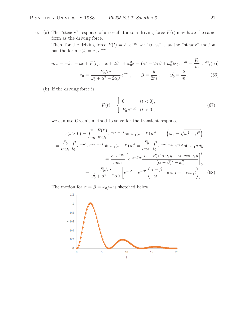6. (a) The "steady" response of an oscillator to a driving force  $F(t)$  may have the same form as the driving force. Then, for the driving force  $F(t) = F_0 e^{-\alpha t}$  we "guess" that the "steady" motion has the form  $x(t) = x_0 e^{-\alpha t}$ .

$$
m\ddot{x} = -kx - b\dot{x} + F(t), \quad \ddot{x} + 2\beta\dot{x} + \omega_0^2 x = (\alpha^2 - 2\alpha\beta + \omega_0^2)x_0 e^{-\alpha t} = \frac{F_0}{m}e^{-\alpha t},
$$
(65)  

$$
x_0 = \frac{F_0/m}{\omega_0^2 + \alpha^2 - 2\alpha\beta}e^{-\alpha t}, \qquad \beta = \frac{b}{2m}, \qquad \omega_0^2 = \frac{k}{m}.
$$
(66)

(b) If the driving force is,

$$
F(t) = \begin{cases} 0 & (t < 0), \\ F_0 e^{-\alpha t} & (t > 0), \end{cases}
$$
 (67)

we can use Green's method to solve for the transient response,

$$
x(t>0) = \int_{-\infty}^{t} \frac{F(t')}{m\omega_1} e^{-\beta(t-t')} \sin \omega_1(t-t') dt' \qquad \left(\omega_1 = \sqrt{\omega_0^2 - \beta^2}\right)
$$

$$
= \frac{F_0}{m\omega_1} \int_0^t e^{-\alpha t'} e^{-\beta(t-t')} \sin \omega_1(t-t') dt' = \frac{F_0}{m\omega_1} \int_0^t e^{-\alpha(t-y)} e^{-\beta y} \sin \omega_1 y dy
$$

$$
= \frac{F_0 e^{-\alpha t}}{m\omega_1} \left[ e^{(\alpha-\beta)y} \frac{(\alpha-\beta)\sin \omega_1 y - \omega_1 \cos \omega_1 y}{(\alpha-\beta)^2 + \omega_1^2} \right]_0^t
$$

$$
= \frac{F_0/m}{\omega_0^2 + \alpha^2 - 2\alpha\beta} \left[ e^{-\alpha t} + e^{-\beta t} \left( \frac{\alpha-\beta}{\omega_1} \sin \omega_1 t - \cos \omega_1 t \right) \right]. \tag{68}
$$

The motion for  $\alpha = \beta = \omega_0/4$  is sketched below.

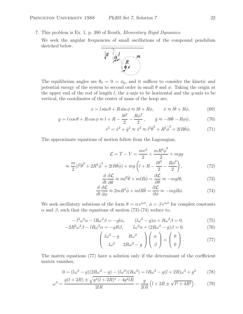7. This problem is Ex. 1, p. 380 of Routh, *Elementary Rigid Dynamics*.

We seek the angular frequencies of small oscillations of the compound pendulum sketched below.



The equilibrium angles are  $\theta_0 = 0 = \phi_0$ , and it suffices to consider the kinetic and potential energy of the system to second order in small  $\theta$  and  $\phi$ . Taking the origin at the upper end of the rod of length  $l$ , the x-axis to be horizontal and the y-axis to be vertical, the coordinates of the center of mass of the hoop are,

$$
x = l\sin\theta + R\sin\phi \approx l\theta + R\phi, \qquad \dot{x} \approx l\dot{\theta} + R\dot{\phi}, \tag{69}
$$

$$
y = l\cos\theta + R\cos\phi \approx l + R - \frac{l\theta^2}{2} - \frac{R\phi^2}{2}, \qquad \dot{y} \approx -l\theta\dot{\theta} - R\dot{\phi}\dot{\phi}, \tag{70}
$$

$$
v^{2} = \dot{x}^{2} + \dot{y}^{2} \approx \dot{x}^{2} \approx l^{2} \dot{\theta}^{2} + R^{2} \dot{\phi}^{2} + 2lR\dot{\theta}\dot{\phi}.
$$
 (71)

The approximate equations of motion follow from the Lagrangian,

$$
\mathcal{L} = T - V = \frac{mv^2}{2} + \frac{mR^2\dot{\phi}^2}{2} + mgy
$$

$$
\approx \frac{m}{2}(l^2\dot{\theta}^2 + 2R^2\dot{\phi}^2 + 2lR\dot{\theta}\dot{\phi}) + mg\left(l + R - \frac{l\theta^2}{2} - \frac{R\phi^2}{2}\right),\tag{72}
$$

$$
\frac{d}{dt}\frac{\partial \mathcal{L}}{\partial \dot{\theta}} \approx ml^2 \ddot{\theta} + mlR\ddot{\phi} = \frac{\partial \mathcal{L}}{\partial \theta} \approx -mgl\theta,\tag{73}
$$

$$
\frac{d}{dt}\frac{\partial \mathcal{L}}{\partial \dot{\phi}} \approx 2mR^2\ddot{\phi} + mlR\ddot{\theta} = \frac{\partial \mathcal{L}}{\partial \phi} \approx -mgR\phi.
$$
 (74)

We seek oscillatory solutions of the form  $\theta = \alpha e^{i\omega t}$ ,  $\phi = \beta e^{i\omega t}$  for complex constants  $\alpha$  and  $\beta$ , such that the equations of motion (73)-(74) reduce to,

$$
-l^2\omega^2\alpha - lR\omega^2\beta = -gl\alpha, \qquad (l\omega^2 - g)\alpha + R\omega^2\beta = 0,\tag{75}
$$

$$
-2R^2\omega^2\beta - lR\omega^2\alpha = -gR\beta, \qquad l\omega^2\alpha + (2R\omega^2 - g)\beta = 0. \tag{76}
$$

$$
\begin{pmatrix} l\omega^2 - g & R\omega^2 \\ l\omega^2 & 2R\omega^2 - g \end{pmatrix} \begin{pmatrix} \alpha \\ \beta \end{pmatrix} = \begin{pmatrix} 0 \\ 0 \end{pmatrix}.
$$
 (77)

The matrix equations (77) have a solution only if the determinant of the coefficient matrix vanishes,

$$
0 = (l\omega^2 - g)(2R\omega^2 - g) - (l\omega^2)(R\omega^2) = lR\omega^4 - g(l + 2R)\omega^2 + g^2 \tag{78}
$$

$$
\omega^2 = \frac{g(l+2R) \pm \sqrt{g^2(l+2R)^2 - 4g^2lR}}{2lR} = \frac{g}{2lR} \left( l + 2R \pm \sqrt{l^2 + 4R^2} \right). \tag{79}
$$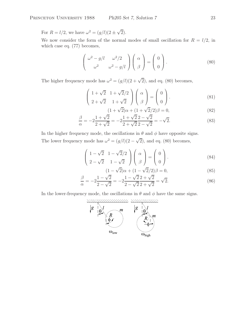For  $R = l/2$ , we have  $\omega^2 = (g/l)(2 \pm \sqrt{2})$ .

We now consider the form of the normal modes of small oscillation for  $R = l/2$ , in which case eq. (77) becomes,

$$
\begin{pmatrix} \omega^2 - g/l & \omega^2/2 \\ \omega^2 & \omega^2 - g/l \end{pmatrix} \begin{pmatrix} \alpha \\ \beta \end{pmatrix} = \begin{pmatrix} 0 \\ 0 \end{pmatrix}.
$$
 (80)

The higher frequency mode has  $\omega^2 = (g/l)(2 + \sqrt{2})$ , and eq. (80) becomes,

$$
\left(\begin{array}{cc} 1+\sqrt{2} & 1+\sqrt{2}/2 \\ 2+\sqrt{2} & 1+\sqrt{2} \end{array}\right) \left(\begin{array}{c} \alpha \\ \beta \end{array}\right) = \left(\begin{array}{c} 0 \\ 0 \end{array}\right). \tag{81}
$$

$$
(1 + \sqrt{2})\alpha + (1 + \sqrt{2}/2)\beta = 0,\t(82)
$$

$$
\frac{\beta}{\alpha} = -2\frac{1+\sqrt{2}}{2+\sqrt{2}} = -2\frac{1+\sqrt{2}}{2+\sqrt{2}}\frac{2-\sqrt{2}}{2-\sqrt{2}} = -\sqrt{2}.
$$
\n(83)

In the higher frequency mode, the oscillations in  $\theta$  and  $\phi$  have opposite signs. The lower frequency mode has  $\omega^2 = (g/l)(2 - \sqrt{2})$ , and eq. (80) becomes,

$$
\left(\begin{array}{cc} 1 - \sqrt{2} & 1 - \sqrt{2}/2 \\ 2 - \sqrt{2} & 1 - \sqrt{2} \end{array}\right) \left(\begin{array}{c} \alpha \\ \beta \end{array}\right) = \left(\begin{array}{c} 0 \\ 0 \end{array}\right). \tag{84}
$$

$$
(1 - \sqrt{2})\alpha + (1 - \sqrt{2}/2)\beta = 0,
$$
\n(85)

$$
\frac{\beta}{\alpha} = -2\frac{1-\sqrt{2}}{2-\sqrt{2}} = -2\frac{1-\sqrt{2}}{2-\sqrt{2}}\frac{2+\sqrt{2}}{2+\sqrt{2}} = \sqrt{2}.
$$
\n(86)

In the lower-frequency mode, the oscillations in  $\theta$  and  $\phi$  have the same signs.

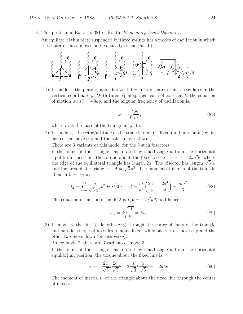8. This problem is Ex. 5, p. 381 of Routh, *Elementary Rigid Dynamics*.

An equilateral thin plate suspended by three springs has 4 modes of oscillation in which the center of mass moves only vertically (or not at all).



(1) In mode 1, the plate remains horizontal, while its center of mass oscillates in the vertical coordinate y. With three equal springs, each of constant  $k$ , the equation of motion is  $m\ddot{y} = -3ky$ , and the angular frequency of oscillation is,

$$
\omega_1 = \sqrt{\frac{3k}{m}},\tag{87}
$$

where  $m$  is the mass of the triangular plate.

(2) In mode 2, a bisector/altitude of the triangle remains fixed (and horizontal) while one corner moves up and the other moves down.

There are 3 variants of this mode, for the 3 such bisectors.

If the plane of the triangle has rotated by small angle  $\theta$  from the horizontal equilibrium position, the torque about the fixed bisector is  $\tau = -2ka^2\theta$ , where the edge of the equilateral triangle has length 2a. The bisector has length  $\sqrt{3}a$ , and the area of the triangle is  $A = \sqrt{3}a^2$ . The moment of inertia of the triangle about a bisector is,

$$
I_2 = \int_{-a}^{a} \frac{m}{\sqrt{3}a^2} x^2 dx \sqrt{3}(a-x) = \frac{m}{a^2} \left(\frac{2a^4}{3} - \frac{2a^4}{4}\right) = \frac{ma^2}{6}.
$$
 (88)

The equation of motion of mode 2 is  $I_2 \ddot{\theta} = -2a^2 k\theta$ , and hence,

$$
\omega_2 = 2\sqrt{\frac{3k}{m}} = 2\omega_1.
$$
\n(89)

(3) In mode 3, the line (of length  $4a/3$ ) through the center of mass of the triangle and parallel to one of its sides remains fixed, while one vertex moves up and the other two move down (or *vice versa*).

As for mode 2, there are 3 variants of mode 3.

If the plane of the triangle has rotated by small angle  $\theta$  from the horizontal equilibrium position, the torque about the fixed line is,

$$
\tau = -\frac{2a}{\sqrt{3}}k\frac{2a}{\sqrt{3}}\theta - 2\frac{a}{\sqrt{3}}k\frac{a}{\sqrt{3}}\theta = -2ak\theta.
$$
 (90)

The moment of inertia  $I_3$  of the triangle about the fixed line through the center of mass is,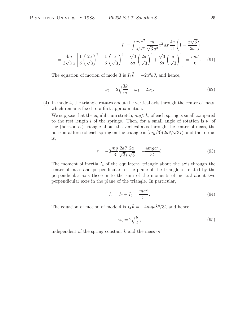$$
I_3 = \int_{-a/\sqrt{3}}^{2a/\sqrt{3}} \frac{m}{\sqrt{3}a^2} x^2 dx \frac{4a}{3} \left( 1 - \frac{x\sqrt{3}}{2a} \right)
$$

$$
= \frac{4m}{3\sqrt{3}a} \left[ \frac{1}{3} \left( \frac{2a}{\sqrt{3}} \right)^3 + \frac{1}{3} \left( \frac{a}{\sqrt{3}} \right)^3 - \frac{\sqrt{3}}{8a} \left( \frac{2a}{\sqrt{3}} \right)^4 + \frac{\sqrt{3}}{8a} \left( \frac{a}{\sqrt{3}} \right)^4 \right] = \frac{ma^2}{6} . \tag{91}
$$

The equation of motion of mode 3 is  $I_3 \ddot{\theta} = -2a^2 k\theta$ , and hence,

$$
\omega_3 = 2\sqrt{\frac{3k}{m}} = \omega_2 = 2\omega_1.
$$
\n(92)

(4) In mode 4, the triangle rotates about the vertical axis through the center of mass, which remains fixed to a first approximation.

We suppose that the equilibrium stretch,  $mg/3k$ , of each spring is small compared to the rest length l of the springs. Then, for a small angle of rotation is  $\theta$ , of the (horizontal) triangle about the vertical axis through the center of mass, the horizontal force of each spring on the triangle is  $(mg/3)(2a\theta/\sqrt{3}l)$ , and the torque is,

$$
\tau = -3 \frac{mg}{3} \frac{2a\theta}{\sqrt{3}l} \frac{2a}{\sqrt{3}} = -\frac{4mga^2}{3l} \theta. \tag{93}
$$

The moment of inertia  $I_4$  of the equilateral triangle about the axis through the center of mass and perpendicular to the plane of the triangle is related by the perpendicular axis theorem to the sum of the moments of inertial about two perpendicular axes in the plane of the triangle. In particular,

$$
I_4 = I_2 + I_3 = \frac{ma^2}{3}.
$$
\n(94)

The equation of motion of mode 4 is  $I_4 \ddot{\theta} = -4mga^2\theta/3l$ , and hence,

$$
\omega_4 = 2\sqrt{\frac{g}{l}},\tag{95}
$$

independent of the spring constant k and the mass  $m$ .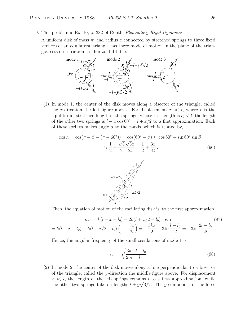9. This problem is Ex. 10, p. 382 of Routh, *Elementary Rigid Dynamics*.

A uniform disk of mass  $m$  and radius a connected by stretched springs to three fixed vertices of an equilateral triangle has three mode of motion in the plane of the triangle.rests on a frictionless, horizontal table.



(1) In mode 1, the center of the disk moves along a bisector of the triangle, called the x-direction the left figure above. For displacement  $x \ll l$ , where l is the equilibrium stretched length of the springs, whose rest length is  $l_0 < l$ , the length of the other two springs is  $l + x \cos 60^\circ = l + x/2$  to a first approximation. Each of these springs makes angle  $\alpha$  to the x-axis, which is related by,

$$
\cos \alpha = \cos(\pi - \beta - (\pi - 60^{\circ})) = \cos(60^{\circ} - \beta) \approx \cos 60^{\circ} + \sin 60^{\circ} \sin \beta
$$

$$
\approx \frac{1}{2} + \frac{\sqrt{3}}{2} \frac{\sqrt{3}x}{2l} = \frac{1}{2} + \frac{3x}{4l}.
$$
(96)



Then, the equation of motion of the oscillating disk is, to the first approximation,

$$
m\ddot{x} = k(l - x - l_0) - 2k(l + x/2 - l_0)\cos\alpha \tag{97}
$$

$$
= k(l - x - l_0) - k(l + x/2 - l_0)\left(1 + \frac{3x}{2l}\right) = -\frac{3kx}{2} - 3kx\frac{l - l_0}{2l} = -3kx\frac{2l - l_0}{2l}.
$$

Hence, the angular frequency of the small oscillations of mode 1 is,

$$
\omega_1 = \sqrt{\frac{3k}{2m} \frac{2l - l_0}{l}}.
$$
\n
$$
(98)
$$

(2) In mode 2, the center of the disk moves along a line perpendicular to a bisector of the triangle, called the  $y$ -direction the middle figure above. For displacement  $x \ll l$ , the length of the left springs remains l to a first approximation, while the other two springs take on lengths  $l \pm y\sqrt{3}/2$ . The y-component of the force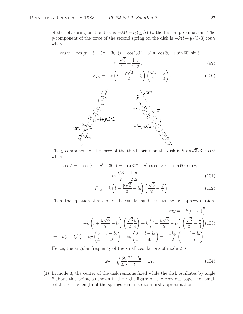of the left spring on the disk is  $-k(l - l_0)(y/l)$  to the first approximation. The y-component of the force of the second spring on the disk is  $-k(l + y\sqrt{3}/3) \cos \gamma$ where,

$$
\cos \gamma = \cos(\pi - \delta - (\pi - 30^{\circ})) = \cos(30^{\circ} - \delta) \approx \cos 30^{\circ} + \sin 60^{\circ} \sin \delta
$$
  

$$
\sqrt{3} \quad 1 \text{ } y \tag{9}
$$

$$
\approx \frac{\sqrt{3} + \frac{1}{2}y}{2},
$$
\n(99)\n
$$
F_{2,y} = -k \left( l + \frac{y\sqrt{3}}{2} - l_0 \right) \left( \frac{\sqrt{3}}{2} + \frac{y}{4} \right).
$$



The y-component of the force of the third spring on the disk is  $k(l'y\sqrt{3}/3) \cos \gamma'$ where,

$$
\cos \gamma' = -\cos(\pi - \delta' - 30^{\circ}) = \cos(30^{\circ} + \delta) \approx \cos 30^{\circ} - \sin 60^{\circ} \sin \delta,
$$

$$
\approx \frac{\sqrt{3}}{2} - \frac{1}{2} \frac{y}{2l},\tag{101}
$$

$$
F_{3,y} = k \left( l - \frac{y\sqrt{3}}{2} - l_0 \right) \left( \frac{\sqrt{3}}{2} - \frac{y}{4} \right). \tag{102}
$$

Then, the equation of motion of the oscillating disk is, to the first approximation,

$$
m\ddot{y} = -k(l - l_0)\frac{y}{l} -k\left(l + \frac{y\sqrt{3}}{2} - l_0\right)\left(\frac{\sqrt{3}y}{2\sqrt{3}}\right) + k\left(l - \frac{y\sqrt{3}}{2} - l_0\right)\left(\frac{\sqrt{3}y}{2} - \frac{y}{4}\right)
$$
(103)  
=  $-k(l - l_0)\frac{y}{l} - ky\left(\frac{3}{4} + \frac{l - l_0}{4l}\right) - ky\left(\frac{3}{4} + \frac{l - l_0}{4l}\right) = -\frac{3ky}{2}\left(1 + \frac{l - l_0}{l}\right).$ 

Hence, the angular frequency of the small oscillations of mode 2 is,

$$
\omega_2 = \sqrt{\frac{3k}{2m} \frac{2l - l_0}{l}} = \omega_1.
$$
\n(104)

(1) In mode 3, the center of the disk remains fixed while the disk oscillates by angle  $\theta$  about this point, as shown in the right figure on the previous page. For small rotations, the length of the springs remains l to a first approximation.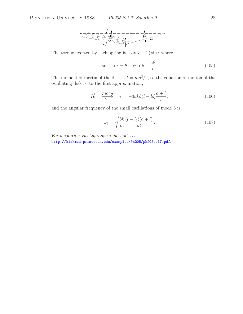

The torque exerted by each spring is  $-ak(l - l_0)$  sin  $\epsilon$  where,

$$
\sin \epsilon \approx \epsilon = \theta + \phi \approx \theta + \frac{a\theta}{l}.
$$
\n(105)

The moment of inertia of the disk is  $I = ma^2/2$ , so the equation of motion of the oscillating disk is, to the first approximation,

$$
I\ddot{\theta} = \frac{ma^2}{2}\ddot{\theta} = \tau = -3ak\theta(l - l_0)\frac{a + l}{l},\qquad(106)
$$

and the angular frequency of the small oscillations of mode 3 is,

$$
\omega_3 = \sqrt{\frac{6k}{m} \frac{(l - l_0)(a + l)}{al}}.
$$
\n(107)

*For a solution via Lagrange's method, see*

http://kirkmcd.princeton.edu/examples/Ph205/ph205sol7.pdf.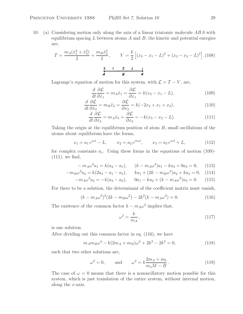10. (a) Considering motion only along the axis of a linear triatomic molecule ABA with equilibrium spacing  $L$  between atoms  $A$  and  $B$ , the kinetic and potential energies are,

$$
T = \frac{m_A(\dot{x}_1^2 + \dot{x}_3^2)}{2} + \frac{m_B \dot{x}_2^2}{2}, \qquad V = \frac{k}{2} \left[ (x_2 - x_1 - L)^2 + (x_3 - x_2 - L)^2 \right].(108)
$$
  

$$
\frac{3}{4} - \frac{2}{8} - \frac{1}{4}
$$

Lagrange's equation of motion for this system, with  $\mathcal{L} = T - V$ , are,

$$
\frac{d}{dt}\frac{\partial \mathcal{L}}{\partial \dot{x}_1} = m_A \ddot{x}_1 = \frac{\partial \mathcal{L}}{\partial x_1} = k(x_2 - x_1 - L),\tag{109}
$$

$$
\frac{d}{dt}\frac{\partial \mathcal{L}}{\partial \dot{x}_2} = m_B \ddot{x}_2 = \frac{\partial \mathcal{L}}{\partial x_2} = k(-2x_2 + x_1 + x_3),\tag{110}
$$

$$
\frac{d}{dt}\frac{\partial \mathcal{L}}{\partial \dot{x}_3} = m_A \ddot{x}_3 = \frac{\partial \mathcal{L}}{\partial x_3} = -k(x_3 - x_2 - L). \tag{111}
$$

Taking the origin at the equilibrium position of atom  $B$ , small oscillations of the atoms about equilibrium have the forms,

$$
x_1 = a_1 e^{i\omega t} - L, \qquad x_2 = a_2 e^{e^{i\omega t}}, \qquad x_3 = a_3 e^{i\omega t} + L,\tag{112}
$$

for complex constants  $a_i$ . Using these forms in the equations of motion (109)- $(111)$ , we find,

$$
-m_A \omega^2 a_1 = k(a_2 - a_1), \qquad (k - m_A \omega^2) a_1 - k a_2 + 0 a_3 = 0, \qquad (113)
$$

$$
-m_B \omega^2 a_2 = k(2a_2 - a_1 - a_3), \quad ka_1 + (2k - m_B \omega^2) a_2 + ka_3 = 0, \quad (114)
$$

$$
-m_A \omega^2 a_3 = -k(a_3 - a_2), \qquad 0a_1 - ka_2 + (k - m_A \omega^2) a_3 = 0. \tag{115}
$$

For there to be a solution, the determinant of the coefficient matrix must vanish,

$$
(k - m_A \omega^2)^2 (2k - m_B \omega^2) - 2k^2 (k - m_A \omega^2) = 0.
$$
 (116)

The existence of the common factor  $k - m_A \omega^2$  implies that,

$$
\omega^2 = \frac{k}{m_A},\tag{117}
$$

is one solution.

After dividing out this common factor in eq. (116), we have

$$
m_A m_B \omega^4 - k(2m_A + m_B)\omega^2 + 2k^2 - 2k^2 = 0,
$$
\n(118)

such that two other solutions are,

$$
\omega^2 = 0, \qquad \text{and} \qquad \omega^2 = k \frac{2m_A + m_b}{m_a M - B}.
$$
 (119)

The case of  $\omega = 0$  means that there is a nonoscillatory motion possible for this system, which is just translation of the entire system, without internal motion, along the  $x$ -axis.